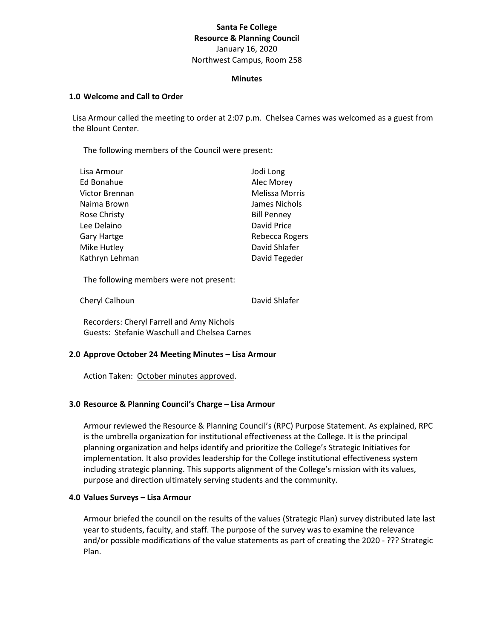# **Santa Fe College Resource & Planning Council** January 16, 2020 Northwest Campus, Room 258

#### **Minutes**

#### **1.0 Welcome and Call to Order**

Lisa Armour called the meeting to order at 2:07 p.m. Chelsea Carnes was welcomed as a guest from the Blount Center.

The following members of the Council were present:

| Jodi Long             |
|-----------------------|
| Alec Morey            |
| <b>Melissa Morris</b> |
| James Nichols         |
| <b>Bill Penney</b>    |
| David Price           |
| Rebecca Rogers        |
| David Shlafer         |
| David Tegeder         |
|                       |

The following members were not present:

Cheryl Calhoun **David Shlafer** 

Recorders: Cheryl Farrell and Amy Nichols Guests: Stefanie Waschull and Chelsea Carnes

## **2.0 Approve October 24 Meeting Minutes – Lisa Armour**

Action Taken: October minutes approved.

## **3.0 Resource & Planning Council's Charge – Lisa Armour**

Armour reviewed the Resource & Planning Council's (RPC) Purpose Statement. As explained, RPC is the umbrella organization for institutional effectiveness at the College. It is the principal planning organization and helps identify and prioritize the College's Strategic Initiatives for implementation. It also provides leadership for the College institutional effectiveness system including strategic planning. This supports alignment of the College's mission with its values, purpose and direction ultimately serving students and the community.

## **4.0 Values Surveys – Lisa Armour**

Armour briefed the council on the results of the values (Strategic Plan) survey distributed late last year to students, faculty, and staff. The purpose of the survey was to examine the relevance and/or possible modifications of the value statements as part of creating the 2020 - ??? Strategic Plan.